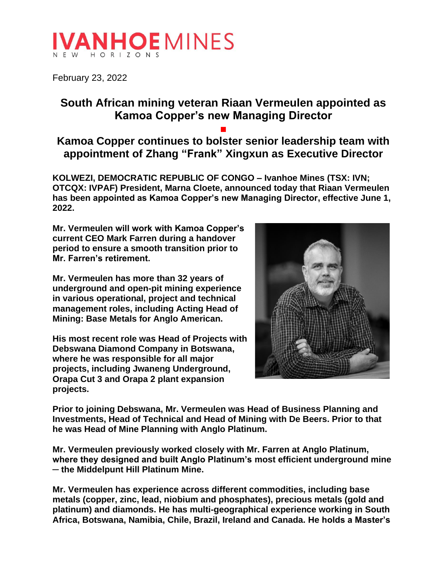# **IVANHOEMINES**

February 23, 2022

## **South African mining veteran Riaan Vermeulen appointed as Kamoa Copper's new Managing Director**

### **■ Kamoa Copper continues to bolster senior leadership team with appointment of Zhang "Frank" Xingxun as Executive Director**

**KOLWEZI, DEMOCRATIC REPUBLIC OF CONGO – Ivanhoe Mines (TSX: IVN; OTCQX: IVPAF) President, Marna Cloete, announced today that Riaan Vermeulen has been appointed as Kamoa Copper's new Managing Director, effective June 1, 2022.** 

**Mr. Vermeulen will work with Kamoa Copper's current CEO Mark Farren during a handover period to ensure a smooth transition prior to Mr. Farren's retirement.**

**Mr. Vermeulen has more than 32 years of underground and open-pit mining experience in various operational, project and technical management roles, including Acting Head of Mining: Base Metals for Anglo American.** 

**His most recent role was Head of Projects with Debswana Diamond Company in Botswana, where he was responsible for all major projects, including Jwaneng Underground, Orapa Cut 3 and Orapa 2 plant expansion projects.** 



**Prior to joining Debswana, Mr. Vermeulen was Head of Business Planning and Investments, Head of Technical and Head of Mining with De Beers. Prior to that he was Head of Mine Planning with Anglo Platinum.** 

**Mr. Vermeulen previously worked closely with Mr. Farren at Anglo Platinum, where they designed and built Anglo Platinum's most efficient underground mine ─ the Middelpunt Hill Platinum Mine.** 

**Mr. Vermeulen has experience across different commodities, including base metals (copper, zinc, lead, niobium and phosphates), precious metals (gold and platinum) and diamonds. He has multi-geographical experience working in South Africa, Botswana, Namibia, Chile, Brazil, Ireland and Canada. He holds a Master's**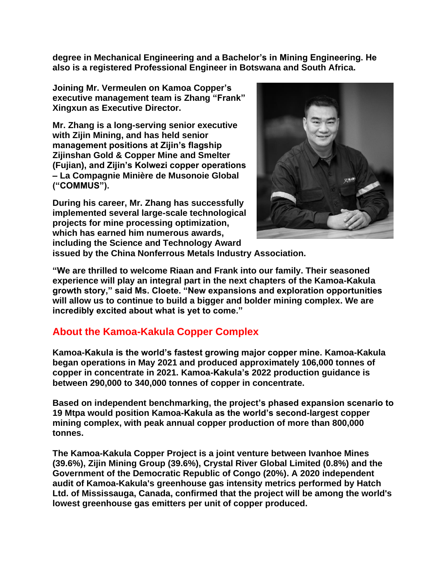**degree in Mechanical Engineering and a Bachelor's in Mining Engineering. He also is a registered Professional Engineer in Botswana and South Africa.**

**Joining Mr. Vermeulen on Kamoa Copper's executive management team is Zhang "Frank" Xingxun as Executive Director.**

**Mr. Zhang is a long-serving senior executive with Zijin Mining, and has held senior management positions at Zijin's flagship Zijinshan Gold & Copper Mine and Smelter (Fujian), and Zijin's Kolwezi copper operations – La Compagnie Minière de Musonoie Global ("COMMUS").** 

**During his career, Mr. Zhang has successfully implemented several large-scale technological projects for mine processing optimization, which has earned him numerous awards, including the Science and Technology Award** 



**issued by the China Nonferrous Metals Industry Association.** 

**"We are thrilled to welcome Riaan and Frank into our family. Their seasoned experience will play an integral part in the next chapters of the Kamoa-Kakula growth story," said Ms. Cloete. "New expansions and exploration opportunities will allow us to continue to build a bigger and bolder mining complex. We are incredibly excited about what is yet to come."**

#### **About the Kamoa-Kakula Copper Complex**

**Kamoa-Kakula is the world's fastest growing major copper mine. Kamoa-Kakula began operations in May 2021 and produced approximately 106,000 tonnes of copper in concentrate in 2021. Kamoa-Kakula's 2022 production guidance is between 290,000 to 340,000 tonnes of copper in concentrate.**

**Based on independent benchmarking, the project's phased expansion scenario to 19 Mtpa would position Kamoa-Kakula as the world's second-largest copper mining complex, with peak annual copper production of more than 800,000 tonnes.**

**The Kamoa-Kakula Copper Project is a joint venture between Ivanhoe Mines (39.6%), Zijin Mining Group (39.6%), Crystal River Global Limited (0.8%) and the Government of the Democratic Republic of Congo (20%). A 2020 independent audit of Kamoa-Kakula's greenhouse gas intensity metrics performed by Hatch Ltd. of Mississauga, Canada, confirmed that the project will be among the world's lowest greenhouse gas emitters per unit of copper produced.**